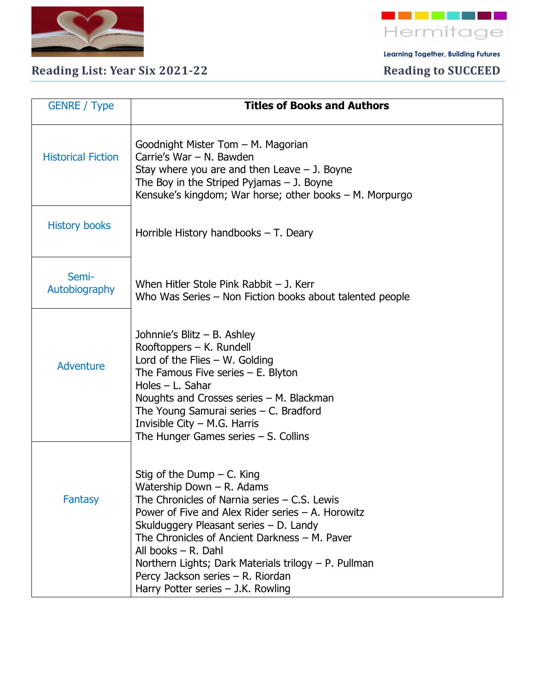

## Reading List: Year Six 2021-22 Reading to SUCCEED

 **Learning Together, Building Futures**

| <b>GENRE</b> / Type       | <b>Titles of Books and Authors</b>                                                                                                                                                                                                                                                                                                                                                                                          |
|---------------------------|-----------------------------------------------------------------------------------------------------------------------------------------------------------------------------------------------------------------------------------------------------------------------------------------------------------------------------------------------------------------------------------------------------------------------------|
| <b>Historical Fiction</b> | Goodnight Mister Tom - M. Magorian<br>Carrie's War - N. Bawden<br>Stay where you are and then Leave $-$ J. Boyne<br>The Boy in the Striped Pyjamas $-$ J. Boyne<br>Kensuke's kingdom; War horse; other books – M. Morpurgo                                                                                                                                                                                                  |
| <b>History books</b>      | Horrible History handbooks $-$ T. Deary                                                                                                                                                                                                                                                                                                                                                                                     |
| Semi-<br>Autobiography    | When Hitler Stole Pink Rabbit $-$ J. Kerr<br>Who Was Series – Non Fiction books about talented people                                                                                                                                                                                                                                                                                                                       |
| <b>Adventure</b>          | Johnnie's Blitz - B. Ashley<br>Rooftoppers – K. Rundell<br>Lord of the Flies $-$ W. Golding<br>The Famous Five series $-$ E. Blyton<br>Holes - L. Sahar<br>Noughts and Crosses series - M. Blackman<br>The Young Samurai series - C. Bradford<br>Invisible City $-$ M.G. Harris<br>The Hunger Games series $-$ S. Collins                                                                                                   |
| Fantasy                   | Stig of the Dump $-$ C. King<br>Watership Down - R. Adams<br>The Chronicles of Narnia series $-$ C.S. Lewis<br>Power of Five and Alex Rider series $-$ A. Horowitz<br>Skulduggery Pleasant series - D. Landy<br>The Chronicles of Ancient Darkness - M. Paver<br>All books $-$ R. Dahl<br>Northern Lights; Dark Materials trilogy – P. Pullman<br>Percy Jackson series - R. Riordan<br>Harry Potter series $-$ J.K. Rowling |